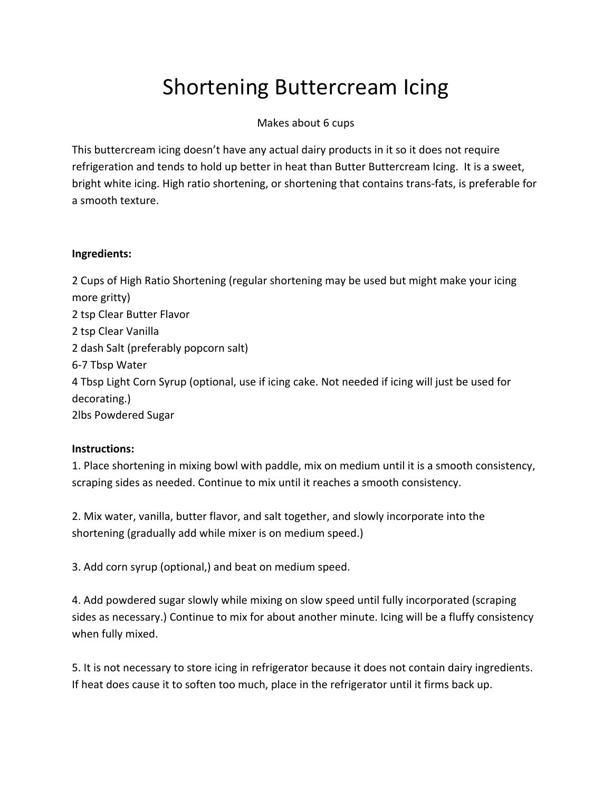## Shortening Buttercream Icing

## Makes about 6 cups

This buttercream icing doesn't have any actual dairy products in it so it does not require refrigeration and tends to hold up better in heat than Butter Buttercream Icing. It is a sweet, bright white icing. High ratio shortening, or shortening that contains trans‐fats, is preferable for a smooth texture.

## **Ingredients:**

 Cups of High Ratio Shortening (regular shortening may be used but might make your icing more gritty) tsp Clear Butter Flavor tsp Clear Vanilla dash Salt (preferably popcorn salt) ‐7 Tbsp Water Tbsp Light Corn Syrup (optional, use if icing cake. Not needed if icing will just be used for decorating.) 2lbs Powdered Sugar

## **Instructions:**

1. Place shortening in mixing bowl with paddle, mix on medium until it is a smooth consistency, scraping sides as needed. Continue to mix until it reaches a smooth consistency.

2. Mix water, vanilla, butter flavor, and salt together, and slowly incorporate into the shortening (gradually add while mixer is on medium speed.)

3. Add corn syrup (optional,) and beat on medium speed.

4. Add powdered sugar slowly while mixing on slow speed until fully incorporated (scraping sides as necessary.) Continue to mix for about another minute. Icing will be a fluffy consistency when fully mixed.

5. It is not necessary to store icing in refrigerator because it does not contain dairy ingredients. If heat does cause it to soften too much, place in the refrigerator until it firms back up.